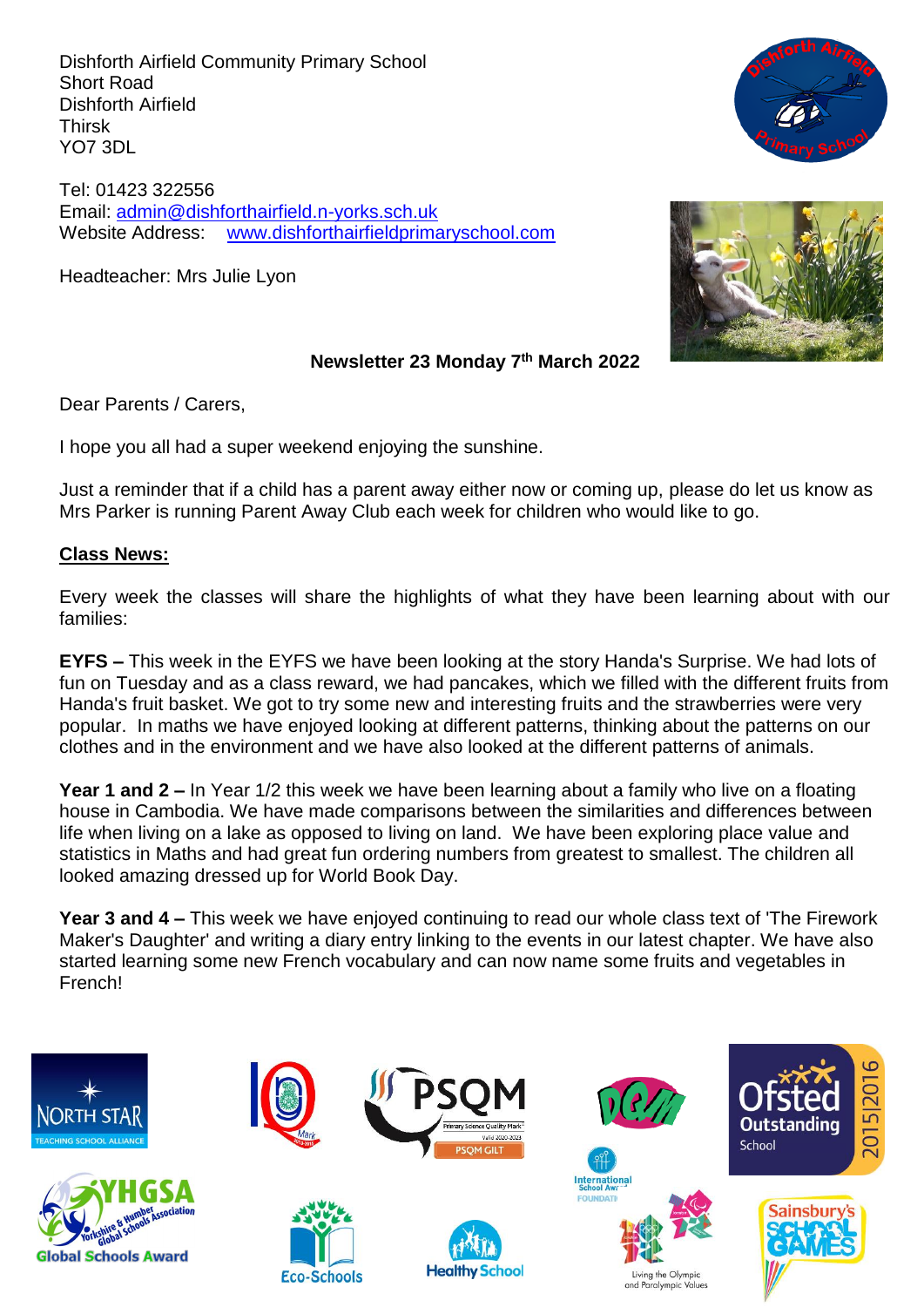Dishforth Airfield Community Primary School Short Road Dishforth Airfield Thirsk YO7 3DL

Tel: 01423 322556 Email: [admin@dishforthairfield.n-yorks.sch.uk](mailto:admin@dishforthairfield.n-yorks.sch.uk) Website Address: [www.dishforthairfieldprimaryschool.com](http://www.dishforthairfieldprimaryschool.com/)

Headteacher: Mrs Julie Lyon



## **Newsletter 23 Monday 7 th March 2022**

Dear Parents / Carers,

I hope you all had a super weekend enjoying the sunshine.

Just a reminder that if a child has a parent away either now or coming up, please do let us know as Mrs Parker is running Parent Away Club each week for children who would like to go.

### **Class News:**

Every week the classes will share the highlights of what they have been learning about with our families:

**EYFS –** This week in the EYFS we have been looking at the story Handa's Surprise. We had lots of fun on Tuesday and as a class reward, we had pancakes, which we filled with the different fruits from Handa's fruit basket. We got to try some new and interesting fruits and the strawberries were very popular. In maths we have enjoyed looking at different patterns, thinking about the patterns on our clothes and in the environment and we have also looked at the different patterns of animals.

**Year 1 and 2 –** In Year 1/2 this week we have been learning about a family who live on a floating house in Cambodia. We have made comparisons between the similarities and differences between life when living on a lake as opposed to living on land. We have been exploring place value and statistics in Maths and had great fun ordering numbers from greatest to smallest. The children all looked amazing dressed up for World Book Day.

**Year 3 and 4 –** This week we have enjoyed continuing to read our whole class text of 'The Firework Maker's Daughter' and writing a diary entry linking to the events in our latest chapter. We have also started learning some new French vocabulary and can now name some fruits and vegetables in French!

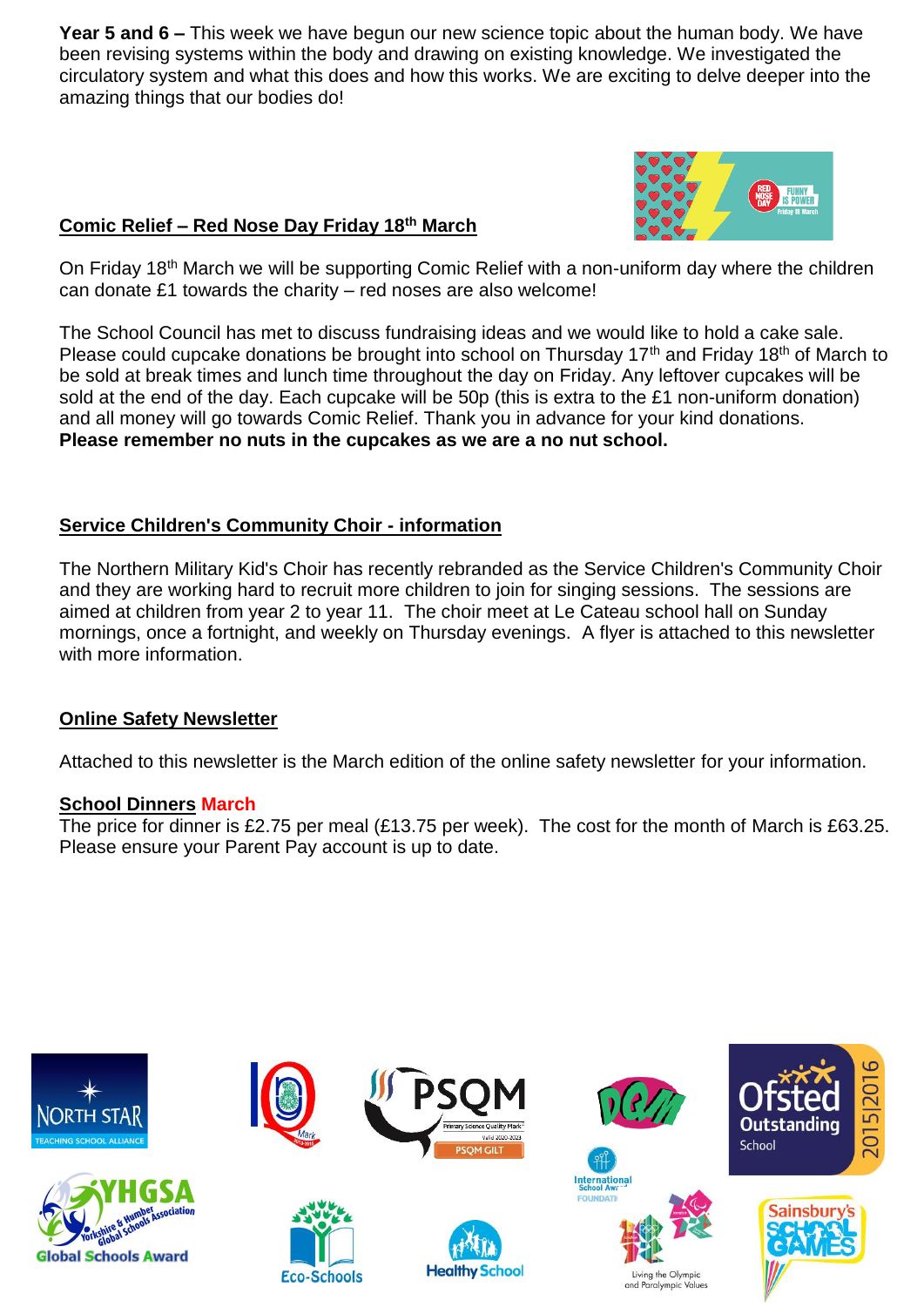**Year 5 and 6 –** This week we have begun our new science topic about the human body. We have been revising systems within the body and drawing on existing knowledge. We investigated the circulatory system and what this does and how this works. We are exciting to delve deeper into the amazing things that our bodies do!

## **Comic Relief – Red Nose Day Friday 18th March**



On Friday 18<sup>th</sup> March we will be supporting Comic Relief with a non-uniform day where the children can donate £1 towards the charity – red noses are also welcome!

The School Council has met to discuss fundraising ideas and we would like to hold a cake sale. Please could cupcake donations be brought into school on Thursday 17<sup>th</sup> and Friday 18<sup>th</sup> of March to be sold at break times and lunch time throughout the day on Friday. Any leftover cupcakes will be sold at the end of the day. Each cupcake will be 50p (this is extra to the £1 non-uniform donation) and all money will go towards Comic Relief. Thank you in advance for your kind donations. **Please remember no nuts in the cupcakes as we are a no nut school.**

## **Service Children's Community Choir - information**

The Northern Military Kid's Choir has recently rebranded as the Service Children's Community Choir and they are working hard to recruit more children to join for singing sessions. The sessions are aimed at children from year 2 to year 11. The choir meet at Le Cateau school hall on Sunday mornings, once a fortnight, and weekly on Thursday evenings. A flyer is attached to this newsletter with more information.

## **Online Safety Newsletter**

Attached to this newsletter is the March edition of the online safety newsletter for your information.

### **School Dinners March**

The price for dinner is £2.75 per meal (£13.75 per week). The cost for the month of March is £63.25. Please ensure your Parent Pay account is up to date.

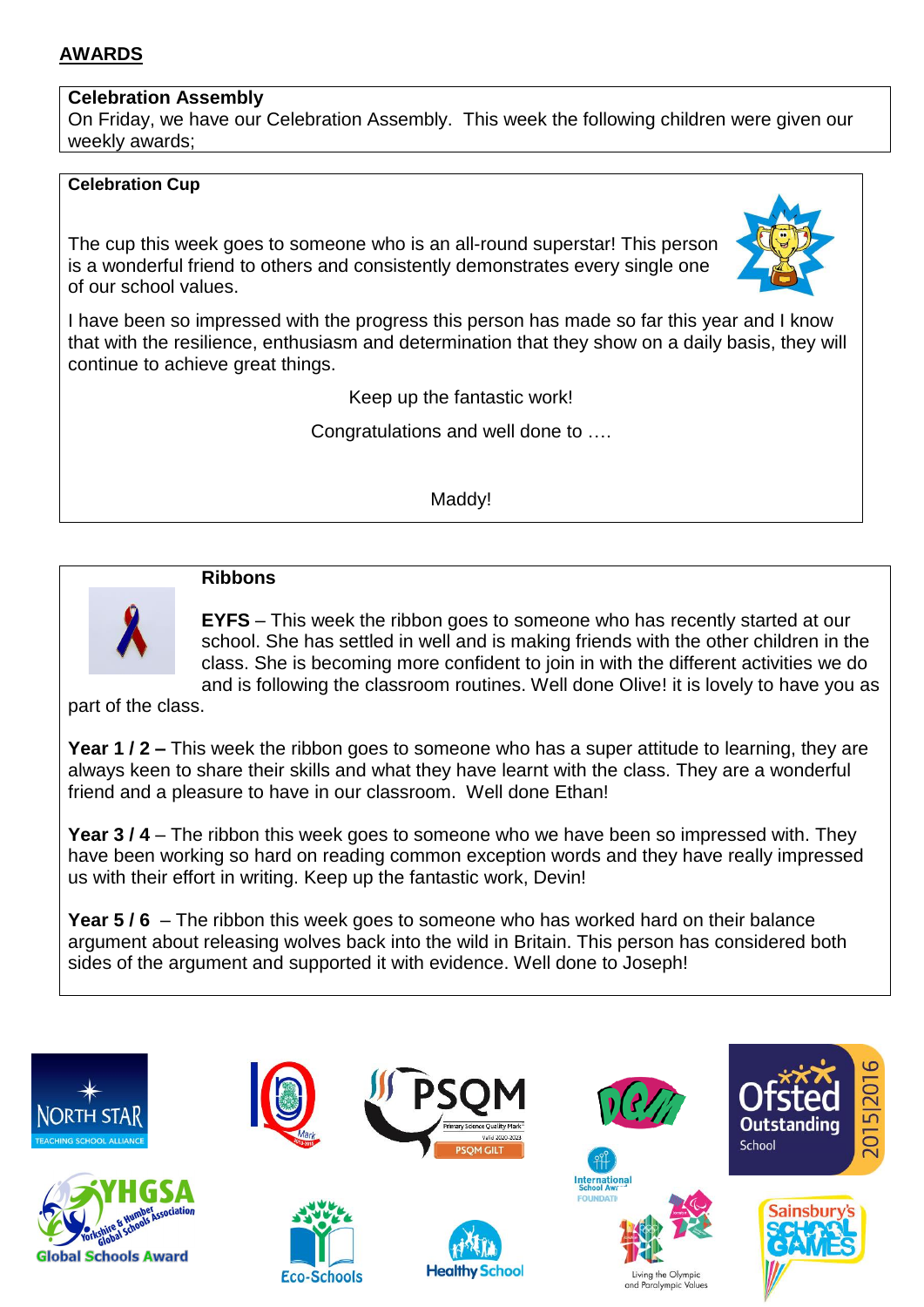## **AWARDS**

### **Celebration Assembly**

On Friday, we have our Celebration Assembly. This week the following children were given our weekly awards;

### **Celebration Cup**

The cup this week goes to someone who is an all-round superstar! This person is a wonderful friend to others and consistently demonstrates every single one of our school values.



I have been so impressed with the progress this person has made so far this year and I know that with the resilience, enthusiasm and determination that they show on a daily basis, they will continue to achieve great things.

Keep up the fantastic work!

Congratulations and well done to ….

Maddy!



### **Ribbons**

**EYFS** – This week the ribbon goes to someone who has recently started at our school. She has settled in well and is making friends with the other children in the class. She is becoming more confident to join in with the different activities we do and is following the classroom routines. Well done Olive! it is lovely to have you as

part of the class.

**Year 1 / 2 –** This week the ribbon goes to someone who has a super attitude to learning, they are always keen to share their skills and what they have learnt with the class. They are a wonderful friend and a pleasure to have in our classroom. Well done Ethan!

**Year 3 / 4** – The ribbon this week goes to someone who we have been so impressed with. They have been working so hard on reading common exception words and they have really impressed us with their effort in writing. Keep up the fantastic work, Devin!

**Year 5 / 6** – The ribbon this week goes to someone who has worked hard on their balance argument about releasing wolves back into the wild in Britain. This person has considered both sides of the argument and supported it with evidence. Well done to Joseph!

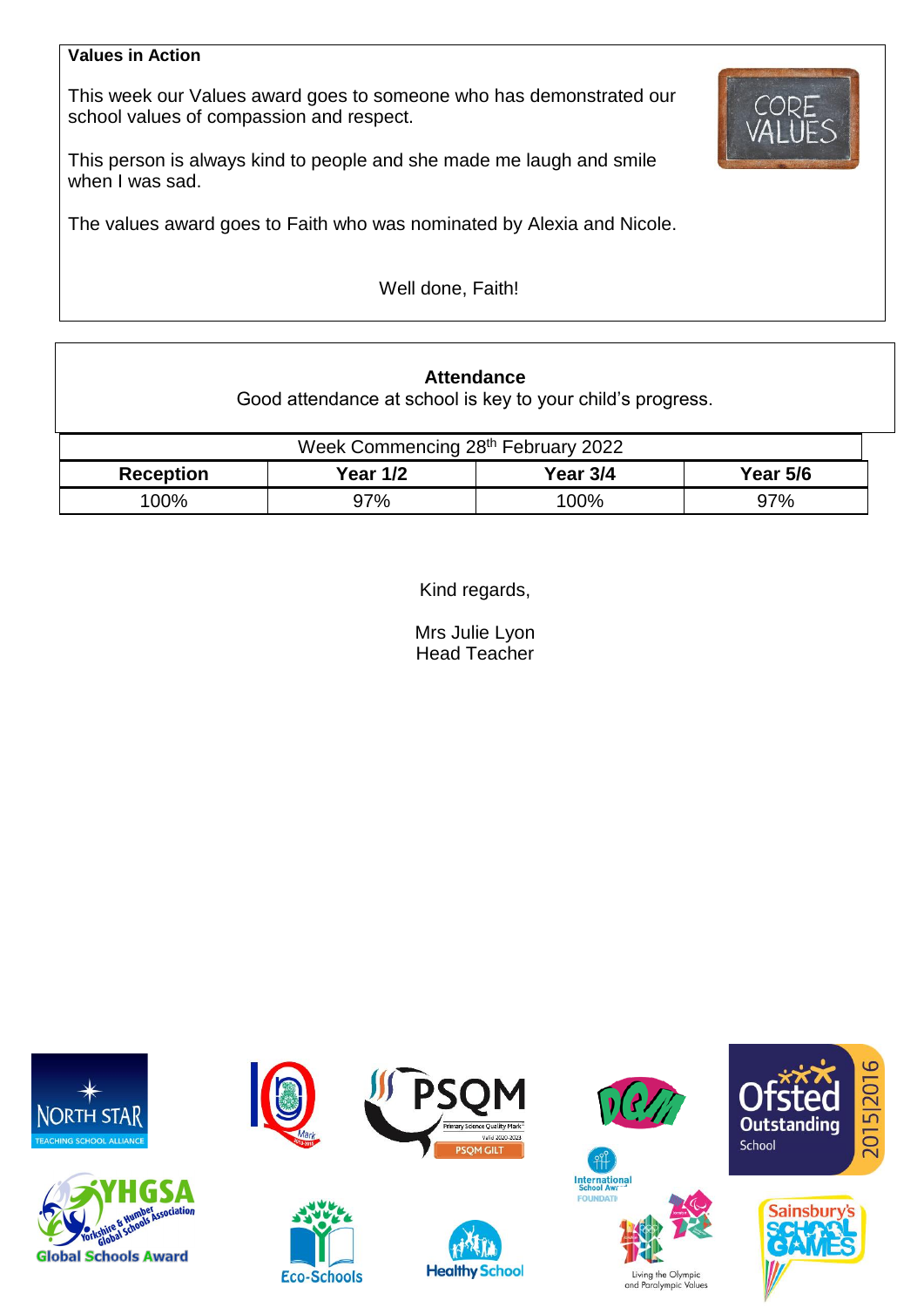### **Values in Action**

This week our Values award goes to someone who has demonstrated our school values of compassion and respect.

This person is always kind to people and she made me laugh and smile when I was sad.

The values award goes to Faith who was nominated by Alexia and Nicole.

Well done, Faith!

| <b>Attendance</b><br>Good attendance at school is key to your child's progress. |                 |          |          |  |  |  |  |
|---------------------------------------------------------------------------------|-----------------|----------|----------|--|--|--|--|
| Week Commencing 28th February 2022                                              |                 |          |          |  |  |  |  |
| <b>Reception</b>                                                                | <b>Year 1/2</b> | Year 3/4 | Year 5/6 |  |  |  |  |
| 100%                                                                            | 97%             | 100%     | 97%      |  |  |  |  |

Kind regards,

Mrs Julie Lyon Head Teacher